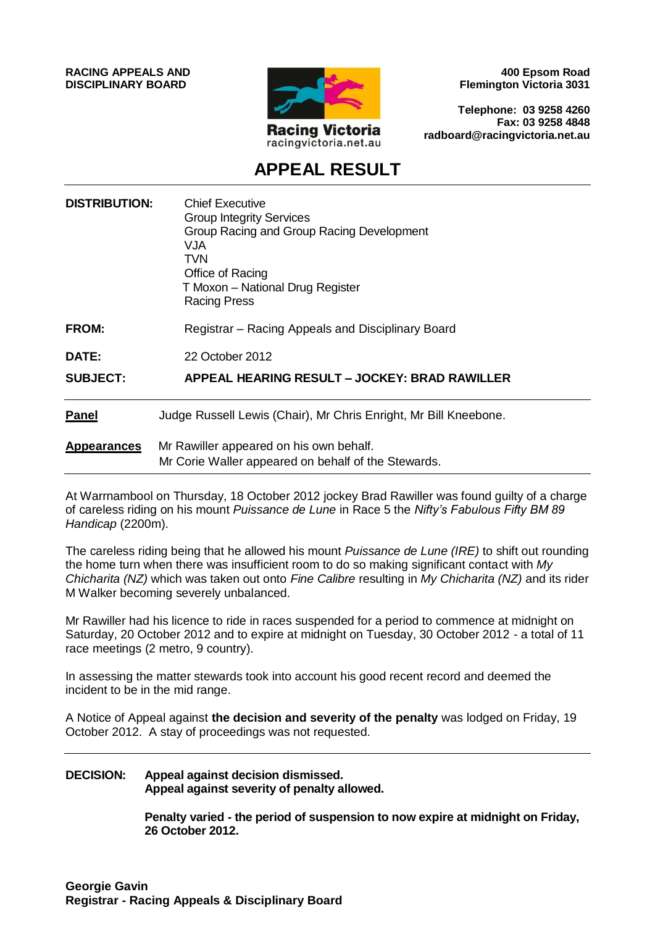**RACING APPEALS AND DISCIPLINARY BOARD**



**400 Epsom Road Flemington Victoria 3031**

**Telephone: 03 9258 4260 Fax: 03 9258 4848 radboard@racingvictoria.net.au**

## **APPEAL RESULT**

| <b>DISTRIBUTION:</b> | <b>Chief Executive</b><br><b>Group Integrity Services</b><br>Group Racing and Group Racing Development<br><b>NUV</b><br>TVN<br>Office of Racing<br>T Moxon - National Drug Register<br>Racing Press |
|----------------------|-----------------------------------------------------------------------------------------------------------------------------------------------------------------------------------------------------|
| <b>FROM:</b>         | Registrar - Racing Appeals and Disciplinary Board                                                                                                                                                   |
| <b>DATE:</b>         | 22 October 2012                                                                                                                                                                                     |
| <b>SUBJECT:</b>      | APPEAL HEARING RESULT – JOCKEY: BRAD RAWILLER                                                                                                                                                       |
| <b>Panel</b>         | Judge Russell Lewis (Chair), Mr Chris Enright, Mr Bill Kneebone.                                                                                                                                    |
| <b>Appearances</b>   | Mr Rawiller appeared on his own behalf.<br>Mr Corie Waller appeared on behalf of the Stewards.                                                                                                      |

At Warrnambool on Thursday, 18 October 2012 jockey Brad Rawiller was found guilty of a charge of careless riding on his mount *Puissance de Lune* in Race 5 the *Nifty's Fabulous Fifty BM 89 Handicap* (2200m).

The careless riding being that he allowed his mount *Puissance de Lune (IRE)* to shift out rounding the home turn when there was insufficient room to do so making significant contact with *My Chicharita (NZ)* which was taken out onto *Fine Calibre* resulting in *My Chicharita (NZ)* and its rider M Walker becoming severely unbalanced.

Mr Rawiller had his licence to ride in races suspended for a period to commence at midnight on Saturday, 20 October 2012 and to expire at midnight on Tuesday, 30 October 2012 - a total of 11 race meetings (2 metro, 9 country).

In assessing the matter stewards took into account his good recent record and deemed the incident to be in the mid range.

A Notice of Appeal against **the decision and severity of the penalty** was lodged on Friday, 19 October 2012. A stay of proceedings was not requested.

#### **DECISION: Appeal against decision dismissed. Appeal against severity of penalty allowed.**

**Penalty varied - the period of suspension to now expire at midnight on Friday, 26 October 2012.**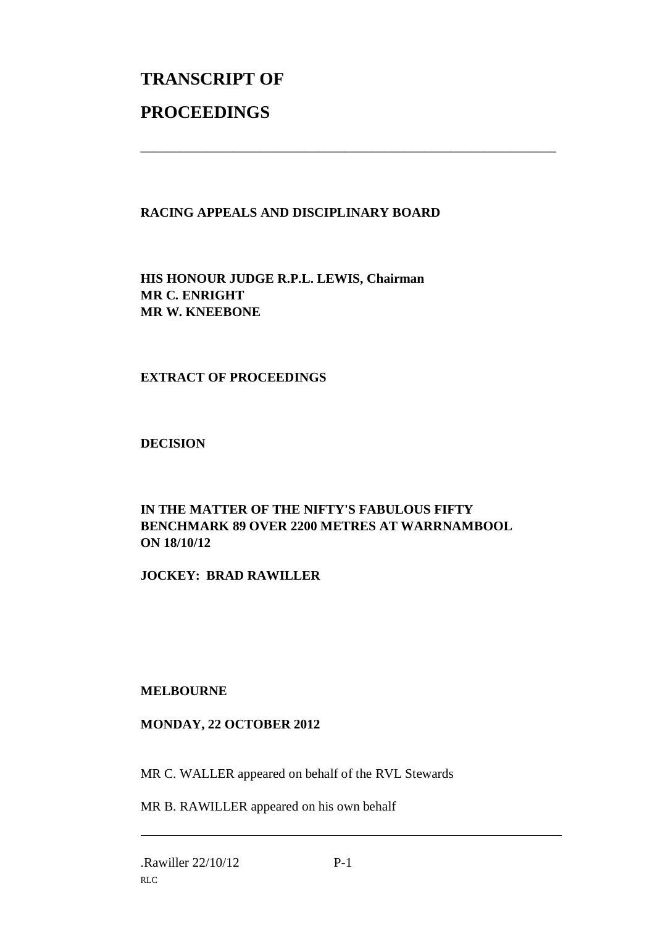# **TRANSCRIPT OF PROCEEDINGS**

### **RACING APPEALS AND DISCIPLINARY BOARD**

\_\_\_\_\_\_\_\_\_\_\_\_\_\_\_\_\_\_\_\_\_\_\_\_\_\_\_\_\_\_\_\_\_\_\_\_\_\_\_\_\_\_\_\_\_\_\_\_\_\_\_\_\_\_\_\_\_\_\_\_\_\_\_

**HIS HONOUR JUDGE R.P.L. LEWIS, Chairman MR C. ENRIGHT MR W. KNEEBONE**

### **EXTRACT OF PROCEEDINGS**

**DECISION**

#### **IN THE MATTER OF THE NIFTY'S FABULOUS FIFTY BENCHMARK 89 OVER 2200 METRES AT WARRNAMBOOL ON 18/10/12**

**JOCKEY: BRAD RAWILLER**

### **MELBOURNE**

### **MONDAY, 22 OCTOBER 2012**

MR C. WALLER appeared on behalf of the RVL Stewards

MR B. RAWILLER appeared on his own behalf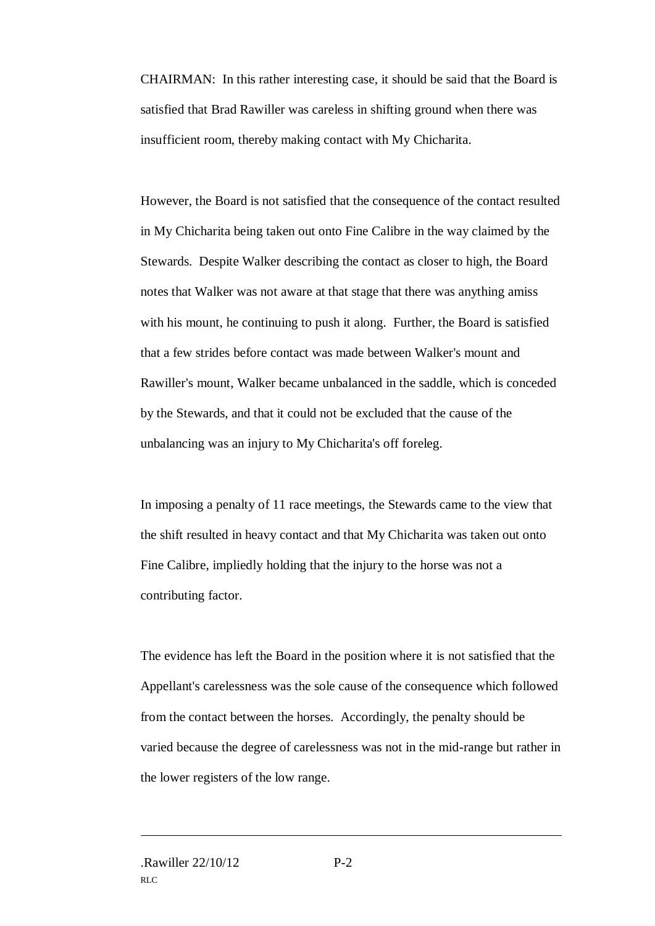CHAIRMAN: In this rather interesting case, it should be said that the Board is satisfied that Brad Rawiller was careless in shifting ground when there was insufficient room, thereby making contact with My Chicharita.

However, the Board is not satisfied that the consequence of the contact resulted in My Chicharita being taken out onto Fine Calibre in the way claimed by the Stewards. Despite Walker describing the contact as closer to high, the Board notes that Walker was not aware at that stage that there was anything amiss with his mount, he continuing to push it along. Further, the Board is satisfied that a few strides before contact was made between Walker's mount and Rawiller's mount, Walker became unbalanced in the saddle, which is conceded by the Stewards, and that it could not be excluded that the cause of the unbalancing was an injury to My Chicharita's off foreleg.

In imposing a penalty of 11 race meetings, the Stewards came to the view that the shift resulted in heavy contact and that My Chicharita was taken out onto Fine Calibre, impliedly holding that the injury to the horse was not a contributing factor.

The evidence has left the Board in the position where it is not satisfied that the Appellant's carelessness was the sole cause of the consequence which followed from the contact between the horses. Accordingly, the penalty should be varied because the degree of carelessness was not in the mid-range but rather in the lower registers of the low range.